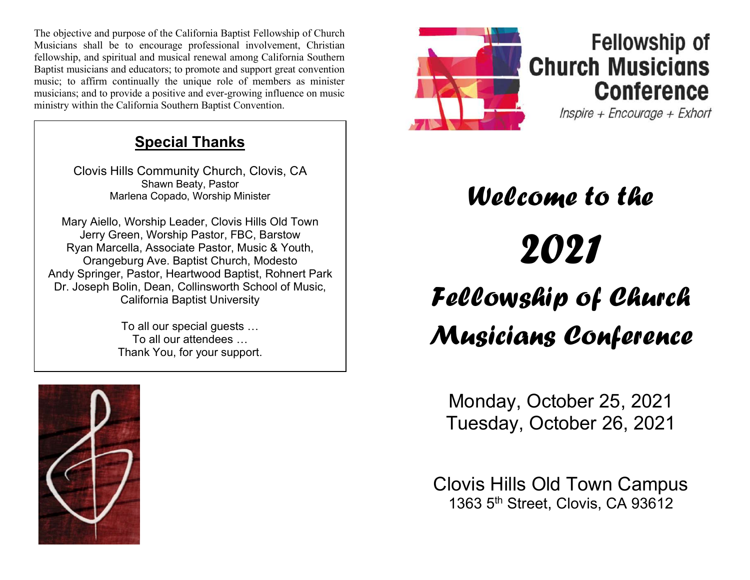The objective and purpose of the California Baptist Fellowship of Church Musicians shall be to encourage professional involvement, Christian fellowship, and spiritual and musical renewal among California Southern Baptist musicians and educators; to promote and support great convention music; to affirm continually the unique role of members as minister musicians; and to provide a positive and ever-growing influence on music ministry within the California Southern Baptist Convention.

### Special Thanks

Clovis Hills Community Church, Clovis, CA Shawn Beaty, Pastor Marlena Copado, Worship Minister

Mary Aiello, Worship Leader, Clovis Hills Old Town Jerry Green, Worship Pastor, FBC, Barstow Ryan Marcella, Associate Pastor, Music & Youth, Orangeburg Ave. Baptist Church, Modesto Andy Springer, Pastor, Heartwood Baptist, Rohnert Park Dr. Joseph Bolin, Dean, Collinsworth School of Music, California Baptist University

> To all our special guests … To all our attendees … Thank You, for your support.





## **Fellowship of Church Musicians Conference**

Inspire + Encourage + Exhort

# Welcome to the 2021 Fellowship of Church Musicians Conference

Monday, October 25, 2021 Tuesday, October 26, 2021

Clovis Hills Old Town Campus 1363 5<sup>th</sup> Street, Clovis, CA 93612